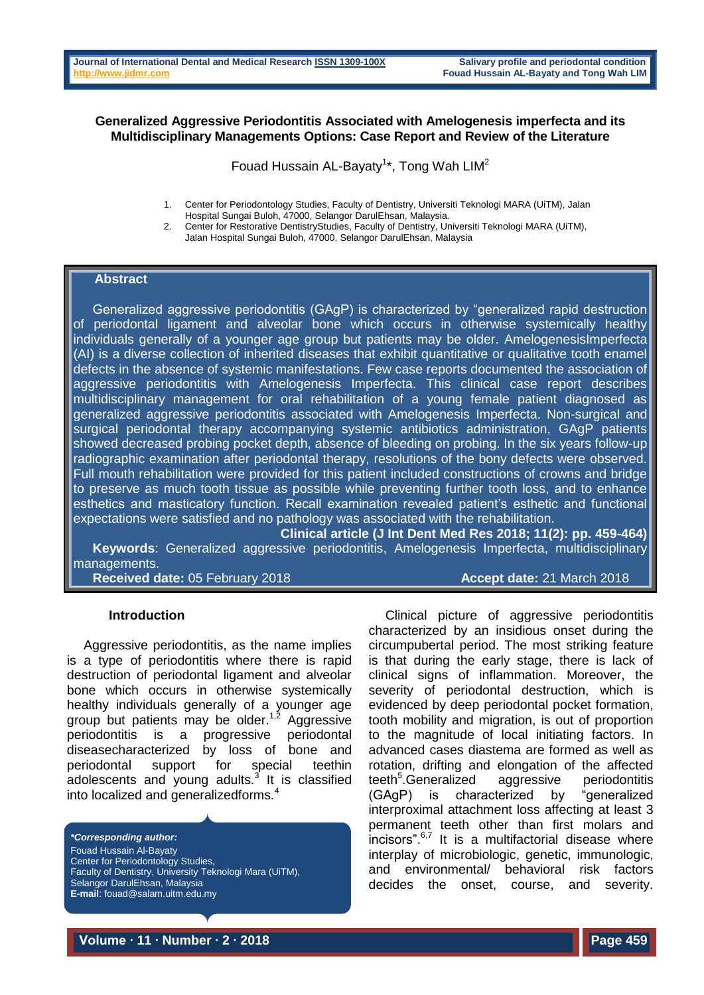## **Generalized Aggressive Periodontitis Associated with Amelogenesis imperfecta and its Multidisciplinary Managements Options: Case Report and Review of the Literature**

Fouad Hussain AL-Bayaty<sup>1\*</sup>, Tong Wah LIM<sup>2</sup>

- 1. Center for Periodontology Studies, Faculty of Dentistry, Universiti Teknologi MARA (UiTM), Jalan Hospital Sungai Buloh, 47000, Selangor DarulEhsan, Malaysia.
- 2. Center for Restorative DentistryStudies, Faculty of Dentistry, Universiti Teknologi MARA (UiTM), Jalan Hospital Sungai Buloh, 47000, Selangor DarulEhsan, Malaysia

### **Abstract**

Generalized aggressive periodontitis (GAgP) is characterized by "generalized rapid destruction of periodontal ligament and alveolar bone which occurs in otherwise systemically healthy individuals generally of a younger age group but patients may be older. AmelogenesisImperfecta (AI) is a diverse collection of inherited diseases that exhibit quantitative or qualitative tooth enamel defects in the absence of systemic manifestations. Few case reports documented the association of aggressive periodontitis with Amelogenesis Imperfecta. This clinical case report describes multidisciplinary management for oral rehabilitation of a young female patient diagnosed as generalized aggressive periodontitis associated with Amelogenesis Imperfecta. Non-surgical and surgical periodontal therapy accompanying systemic antibiotics administration, GAgP patients showed decreased probing pocket depth, absence of bleeding on probing. In the six years follow-up radiographic examination after periodontal therapy, resolutions of the bony defects were observed. Full mouth rehabilitation were provided for this patient included constructions of crowns and bridge to preserve as much tooth tissue as possible while preventing further tooth loss, and to enhance esthetics and masticatory function. Recall examination revealed patient's esthetic and functional expectations were satisfied and no pathology was associated with the rehabilitation.

**Clinical article (J Int Dent Med Res 2018; 11(2): pp. 459-464) Keywords**: Generalized aggressive periodontitis, Amelogenesis Imperfecta, multidisciplinary managements.

**Received date:** 05 February 2018 **Accept date:** 21 March 2018

### **Introduction**

Aggressive periodontitis, as the name implies is a type of periodontitis where there is rapid destruction of periodontal ligament and alveolar bone which occurs in otherwise systemically healthy individuals generally of a younger age group but patients may be older.<sup>1,2</sup> Aggressive periodontitis is a progressive periodontal diseasecharacterized by loss of bone and periodontal support for special teethin adolescents and young adults. $3$  It is classified into localized and generalizedforms.<sup>4</sup>

*\*Corresponding author:* Fouad Hussain Al-Bayaty Center for Periodontology Studies, Faculty of Dentistry, University Teknologi Mara (UiTM), Selangor DarulEhsan, Malaysia **E-mail**: fouad@salam.uitm.edu.my

Clinical picture of aggressive periodontitis characterized by an insidious onset during the circumpubertal period. The most striking feature is that during the early stage, there is lack of clinical signs of inflammation. Moreover, the severity of periodontal destruction, which is evidenced by deep periodontal pocket formation, tooth mobility and migration, is out of proportion to the magnitude of local initiating factors. In advanced cases diastema are formed as well as rotation, drifting and elongation of the affected teeth<sup>5</sup>.Generalized aggressive periodontitis (GAgP) is characterized by "generalized interproximal attachment loss affecting at least 3 permanent teeth other than first molars and incisors".<sup>6,7</sup> It is a multifactorial disease where interplay of microbiologic, genetic, immunologic, and environmental/ behavioral risk factors decides the onset, course, and severity.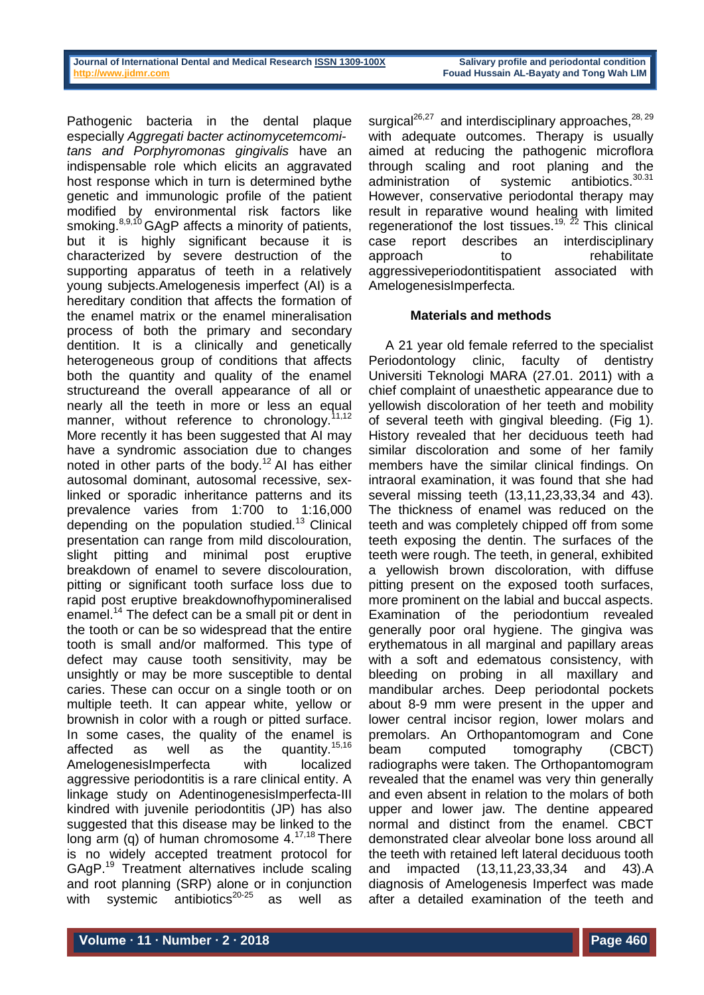Pathogenic bacteria in the dental plaque especially *Aggregati bacter actinomycetemcomitans and Porphyromonas gingivalis* have an indispensable role which elicits an aggravated host response which in turn is determined bythe genetic and immunologic profile of the patient modified by environmental risk factors like smoking.<sup>8,9,10</sup> GAgP affects a minority of patients, but it is highly significant because it is characterized by severe destruction of the supporting apparatus of teeth in a relatively young subjects.Amelogenesis imperfect (AI) is a hereditary condition that affects the formation of the enamel matrix or the enamel mineralisation process of both the primary and secondary dentition. It is a clinically and genetically heterogeneous group of conditions that affects both the quantity and quality of the enamel structureand the overall appearance of all or nearly all the teeth in more or less an equal manner, without reference to chronology.<sup>11,12</sup> More recently it has been suggested that AI may have a syndromic association due to changes noted in other parts of the body.<sup>12</sup> AI has either autosomal dominant, autosomal recessive, sexlinked or sporadic inheritance patterns and its prevalence varies from 1:700 to 1:16,000 depending on the population studied.<sup>13</sup> Clinical presentation can range from mild discolouration, slight pitting and minimal post eruptive breakdown of enamel to severe discolouration, pitting or significant tooth surface loss due to rapid post eruptive breakdownofhypomineralised enamel.<sup>14</sup> The defect can be a small pit or dent in the tooth or can be so widespread that the entire tooth is small and/or malformed. This type of defect may cause tooth sensitivity, may be unsightly or may be more susceptible to dental caries. These can occur on a single tooth or on multiple teeth. It can appear white, yellow or brownish in color with a rough or pitted surface. In some cases, the quality of the enamel is affected as well as the quantity.<sup>15,16</sup> AmelogenesisImperfecta with localized aggressive periodontitis is a rare clinical entity. A linkage study on AdentinogenesisImperfecta-III kindred with juvenile periodontitis (JP) has also suggested that this disease may be linked to the long arm (q) of human chromosome 4.17,18 There is no widely accepted treatment protocol for GAgP.<sup>19</sup> Treatment alternatives include scaling and root planning (SRP) alone or in conjunction with systemic antibiotics $20-25$  as well as

surgical<sup>26,27</sup> and interdisciplinary approaches,  $28, 29$ with adequate outcomes. Therapy is usually aimed at reducing the pathogenic microflora through scaling and root planing and the administration of systemic antibiotics.30.31 However, conservative periodontal therapy may result in reparative wound healing with limited regenerationof the lost tissues.<sup>19, 22</sup> This clinical case report describes an interdisciplinary approach to rehabilitate aggressiveperiodontitispatient associated with AmelogenesisImperfecta.

# **Materials and methods**

A 21 year old female referred to the specialist Periodontology clinic, faculty of dentistry Universiti Teknologi MARA (27.01. 2011) with a chief complaint of unaesthetic appearance due to yellowish discoloration of her teeth and mobility of several teeth with gingival bleeding. (Fig 1). History revealed that her deciduous teeth had similar discoloration and some of her family members have the similar clinical findings. On intraoral examination, it was found that she had several missing teeth (13,11,23,33,34 and 43). The thickness of enamel was reduced on the teeth and was completely chipped off from some teeth exposing the dentin. The surfaces of the teeth were rough. The teeth, in general, exhibited a yellowish brown discoloration, with diffuse pitting present on the exposed tooth surfaces, more prominent on the labial and buccal aspects. Examination of the periodontium revealed generally poor oral hygiene. The gingiva was erythematous in all marginal and papillary areas with a soft and edematous consistency, with bleeding on probing in all maxillary and mandibular arches. Deep periodontal pockets about 8-9 mm were present in the upper and lower central incisor region, lower molars and premolars. An Orthopantomogram and Cone beam computed tomography (CBCT) radiographs were taken. The Orthopantomogram revealed that the enamel was very thin generally and even absent in relation to the molars of both upper and lower jaw. The dentine appeared normal and distinct from the enamel. CBCT demonstrated clear alveolar bone loss around all the teeth with retained left lateral deciduous tooth and impacted (13,11,23,33,34 and 43).A diagnosis of Amelogenesis Imperfect was made after a detailed examination of the teeth and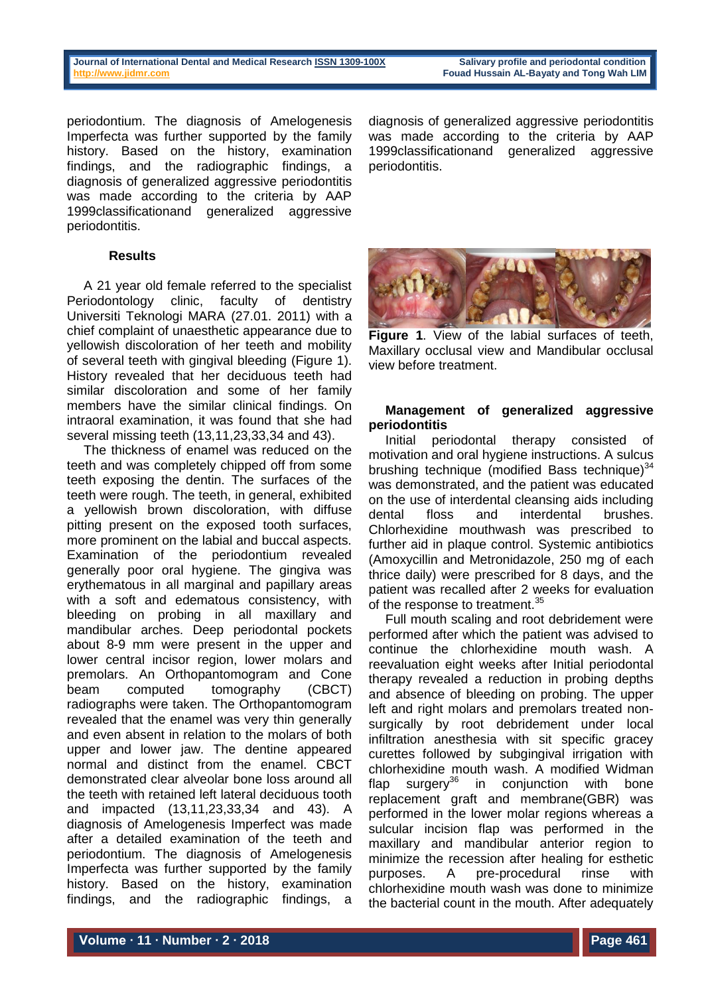periodontium. The diagnosis of Amelogenesis Imperfecta was further supported by the family history. Based on the history, examination findings, and the radiographic findings, a diagnosis of generalized aggressive periodontitis was made according to the criteria by AAP 1999classificationand generalized aggressive periodontitis.

## **Results**

A 21 year old female referred to the specialist Periodontology clinic, faculty of dentistry Universiti Teknologi MARA (27.01. 2011) with a chief complaint of unaesthetic appearance due to yellowish discoloration of her teeth and mobility of several teeth with gingival bleeding (Figure 1). History revealed that her deciduous teeth had similar discoloration and some of her family members have the similar clinical findings. On intraoral examination, it was found that she had several missing teeth (13,11,23,33,34 and 43).

The thickness of enamel was reduced on the teeth and was completely chipped off from some teeth exposing the dentin. The surfaces of the teeth were rough. The teeth, in general, exhibited a yellowish brown discoloration, with diffuse pitting present on the exposed tooth surfaces, more prominent on the labial and buccal aspects. Examination of the periodontium revealed generally poor oral hygiene. The gingiva was erythematous in all marginal and papillary areas with a soft and edematous consistency, with bleeding on probing in all maxillary and mandibular arches. Deep periodontal pockets about 8-9 mm were present in the upper and lower central incisor region, lower molars and premolars. An Orthopantomogram and Cone beam computed tomography (CBCT) radiographs were taken. The Orthopantomogram revealed that the enamel was very thin generally and even absent in relation to the molars of both upper and lower jaw. The dentine appeared normal and distinct from the enamel. CBCT demonstrated clear alveolar bone loss around all the teeth with retained left lateral deciduous tooth and impacted (13,11,23,33,34 and 43). A diagnosis of Amelogenesis Imperfect was made after a detailed examination of the teeth and periodontium. The diagnosis of Amelogenesis Imperfecta was further supported by the family history. Based on the history, examination findings, and the radiographic findings, a

diagnosis of generalized aggressive periodontitis was made according to the criteria by AAP 1999classificationand generalized aggressive periodontitis.



**Figure 1**. View of the labial surfaces of teeth, Maxillary occlusal view and Mandibular occlusal view before treatment.

## **Management of generalized aggressive periodontitis**

Initial periodontal therapy consisted of motivation and oral hygiene instructions. A sulcus brushing technique (modified Bass technique) $34$ was demonstrated, and the patient was educated on the use of interdental cleansing aids including dental floss and interdental brushes. Chlorhexidine mouthwash was prescribed to further aid in plaque control. Systemic antibiotics (Amoxycillin and Metronidazole, 250 mg of each thrice daily) were prescribed for 8 days, and the patient was recalled after 2 weeks for evaluation of the response to treatment.<sup>35</sup>

Full mouth scaling and root debridement were performed after which the patient was advised to continue the chlorhexidine mouth wash. A reevaluation eight weeks after Initial periodontal therapy revealed a reduction in probing depths and absence of bleeding on probing. The upper left and right molars and premolars treated nonsurgically by root debridement under local infiltration anesthesia with sit specific gracey curettes followed by subgingival irrigation with chlorhexidine mouth wash. A modified Widman flap surgery<sup>36</sup> in conjunction with bone replacement graft and membrane(GBR) was performed in the lower molar regions whereas a sulcular incision flap was performed in the maxillary and mandibular anterior region to minimize the recession after healing for esthetic purposes. A pre-procedural rinse with chlorhexidine mouth wash was done to minimize the bacterial count in the mouth. After adequately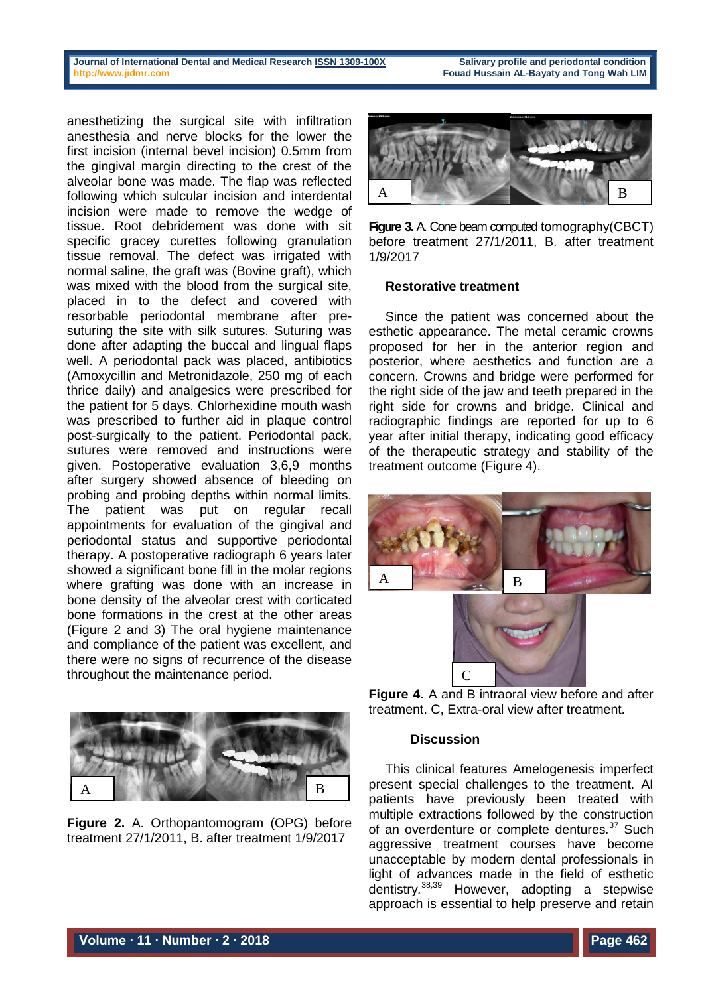#### **Journal of International Dental and Medical Researc[h ISSN 1309-100X](http://www.ektodermaldisplazi.com/dergi.htm) Salivary profile and periodontal condition [http://www.jidmr.com](http://www.jidmr.com/) Fouad Hussain AL-Bayaty and Tong Wah LIM**

anesthetizing the surgical site with infiltration anesthesia and nerve blocks for the lower the first incision (internal bevel incision) 0.5mm from the gingival margin directing to the crest of the alveolar bone was made. The flap was reflected following which sulcular incision and interdental incision were made to remove the wedge of tissue. Root debridement was done with sit specific gracey curettes following granulation tissue removal. The defect was irrigated with normal saline, the graft was (Bovine graft), which was mixed with the blood from the surgical site, placed in to the defect and covered with resorbable periodontal membrane after presuturing the site with silk sutures. Suturing was done after adapting the buccal and lingual flaps well. A periodontal pack was placed, antibiotics (Amoxycillin and Metronidazole, 250 mg of each thrice daily) and analgesics were prescribed for the patient for 5 days. Chlorhexidine mouth wash was prescribed to further aid in plaque control post-surgically to the patient. Periodontal pack, sutures were removed and instructions were given. Postoperative evaluation 3,6,9 months after surgery showed absence of bleeding on probing and probing depths within normal limits. The patient was put on regular recall appointments for evaluation of the gingival and periodontal status and supportive periodontal therapy. A postoperative radiograph 6 years later showed a significant bone fill in the molar regions where grafting was done with an increase in bone density of the alveolar crest with corticated bone formations in the crest at the other areas (Figure 2 and 3) The oral hygiene maintenance and compliance of the patient was excellent, and there were no signs of recurrence of the disease throughout the maintenance period.



**Figure 2.** A. Orthopantomogram (OPG) before treatment 27/1/2011, B. after treatment 1/9/2017



**Figure 3.** A. Cone beam computed tomography(CBCT) before treatment 27/1/2011, B. after treatment 1/9/2017

### **Restorative treatment**

Since the patient was concerned about the esthetic appearance. The metal ceramic crowns proposed for her in the anterior region and posterior, where aesthetics and function are a concern. Crowns and bridge were performed for the right side of the jaw and teeth prepared in the right side for crowns and bridge. Clinical and radiographic findings are reported for up to 6 year after initial therapy, indicating good efficacy of the therapeutic strategy and stability of the treatment outcome (Figure 4).



**Figure 4.** A and B intraoral view before and after treatment. C, Extra-oral view after treatment.

### **Discussion**

This clinical features Amelogenesis imperfect present special challenges to the treatment. AI patients have previously been treated with multiple extractions followed by the construction of an overdenture or complete dentures*.* <sup>37</sup> Such aggressive treatment courses have become unacceptable by modern dental professionals in light of advances made in the field of esthetic dentistry*.* 38,39 However, adopting a stepwise approach is essential to help preserve and retain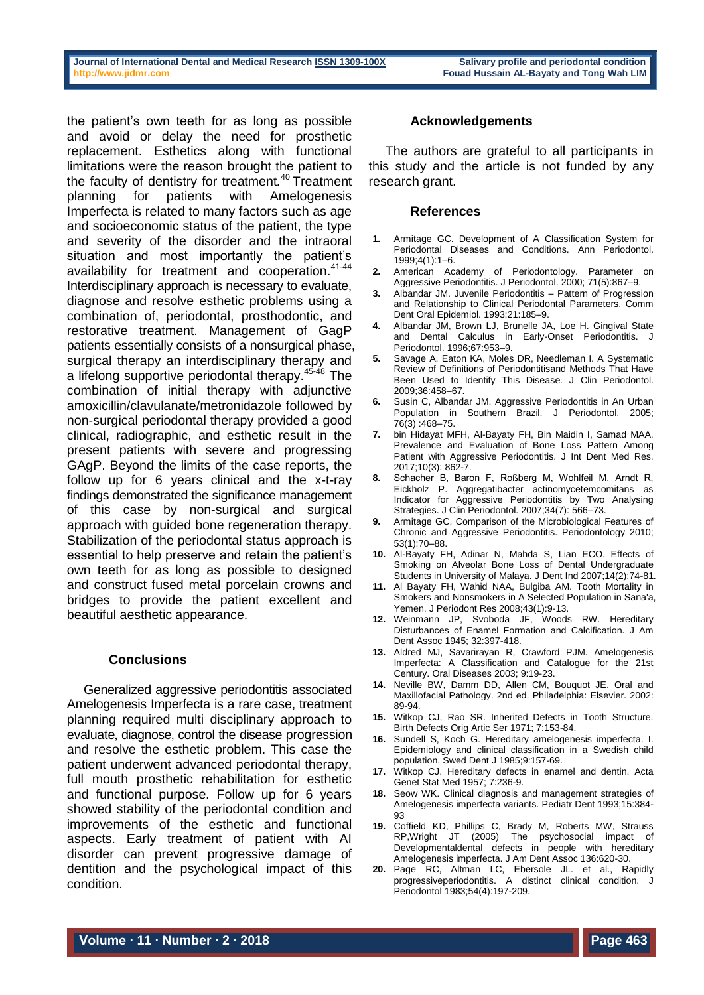the patient's own teeth for as long as possible and avoid or delay the need for prosthetic replacement. Esthetics along with functional limitations were the reason brought the patient to the faculty of dentistry for treatment*.* <sup>40</sup> Treatment planning for patients with Amelogenesis Imperfecta is related to many factors such as age and socioeconomic status of the patient, the type and severity of the disorder and the intraoral situation and most importantly the patient's availability for treatment and cooperation. 41-44 Interdisciplinary approach is necessary to evaluate, diagnose and resolve esthetic problems using a combination of, periodontal, prosthodontic, and restorative treatment. Management of GagP patients essentially consists of a nonsurgical phase, surgical therapy an interdisciplinary therapy and a lifelong supportive periodontal therapy.<sup>45-48</sup> The combination of initial therapy with adjunctive amoxicillin/clavulanate/metronidazole followed by non-surgical periodontal therapy provided a good clinical, radiographic, and esthetic result in the present patients with severe and progressing GAgP. Beyond the limits of the case reports, the follow up for 6 years clinical and the x-t-ray findings demonstrated the significance management of this case by non-surgical and surgical approach with guided bone regeneration therapy. Stabilization of the periodontal status approach is essential to help preserve and retain the patient's own teeth for as long as possible to designed and construct fused metal porcelain crowns and bridges to provide the patient excellent and beautiful aesthetic appearance.

### **Conclusions**

Generalized aggressive periodontitis associated Amelogenesis Imperfecta is a rare case, treatment planning required multi disciplinary approach to evaluate, diagnose, control the disease progression and resolve the esthetic problem. This case the patient underwent advanced periodontal therapy, full mouth prosthetic rehabilitation for esthetic and functional purpose. Follow up for 6 years showed stability of the periodontal condition and improvements of the esthetic and functional aspects. Early treatment of patient with AI disorder can prevent progressive damage of dentition and the psychological impact of this condition.

### **Acknowledgements**

The authors are grateful to all participants in this study and the article is not funded by any research grant.

### **References**

- **1.** Armitage GC. Development of A Classification System for Periodontal Diseases and Conditions. Ann Periodontol. 1999;4(1):1–6.
- **2.** American Academy of Periodontology. Parameter on Aggressive Periodontitis. J Periodontol. 2000; 71(5):867–9.
- **3.** Albandar JM. Juvenile Periodontitis Pattern of Progression and Relationship to Clinical Periodontal Parameters. Comm Dent Oral Epidemiol. 1993;21:185–9.
- **4.** Albandar JM, Brown LJ, Brunelle JA, Loe H. Gingival State and Dental Calculus in Early-Onset Periodontitis. J Periodontol. 1996;67:953–9.
- **5.** Savage A, Eaton KA, Moles DR, Needleman I. A Systematic Review of Definitions of Periodontitisand Methods That Have Been Used to Identify This Disease. J Clin Periodontol. 2009;36:458–67.
- **6.** Susin C, Albandar JM. Aggressive Periodontitis in An Urban Population in Southern Brazil. J Periodontol. 2005; 76(3) :468–75.
- bin Hidayat MFH, Al-Bayaty FH, Bin Maidin I, Samad MAA. Prevalence and Evaluation of Bone Loss Pattern Among Patient with Aggressive Periodontitis. J Int Dent Med Res. 2017;10(3): 862-7.
- **8.** Schacher B, Baron F, Roßberg M, Wohlfeil M, Arndt R, Eickholz P. Aggregatibacter actinomycetemcomitans as Indicator for Aggressive Periodontitis by Two Analysing Strategies. J Clin Periodontol. 2007;34(7): 566–73.
- **9.** Armitage GC. Comparison of the Microbiological Features of Chronic and Aggressive Periodontitis. Periodontology 2010; 53(1):70–88.
- **10.** Al-Bayaty FH, Adinar N, Mahda S, Lian ECO. Effects of Smoking on Alveolar Bone Loss of Dental Undergraduate Students in University of Malaya. J Dent Ind 2007;14(2):74-81.
- **11.** Al Bayaty FH, Wahid NAA, Bulgiba AM. Tooth Mortality in Smokers and Nonsmokers in A Selected Population in Sana'a, Yemen. J Periodont Res 2008;43(1):9-13.
- **12.** Weinmann JP, Svoboda JF, Woods RW. Hereditary Disturbances of Enamel Formation and Calcification. J Am Dent Assoc 1945; 32:397-418.
- **13.** Aldred MJ, Savarirayan R, Crawford PJM. Amelogenesis Imperfecta: A Classification and Catalogue for the 21st Century. Oral Diseases 2003; 9:19-23.
- **14.** Neville BW, Damm DD, Allen CM, Bouquot JE. Oral and Maxillofacial Pathology. 2nd ed. Philadelphia: Elsevier. 2002: 89-94.
- **15.** Witkop CJ, Rao SR. Inherited Defects in Tooth Structure. Birth Defects Orig Artic Ser 1971; 7:153-84.
- **16.** Sundell S, Koch G. Hereditary amelogenesis imperfecta. I. Epidemiology and clinical classification in a Swedish child population. Swed Dent J 1985;9:157-69.
- **17.** Witkop CJ. Hereditary defects in enamel and dentin. Acta Genet Stat Med 1957; 7:236-9.
- **18.** Seow WK. Clinical diagnosis and management strategies of Amelogenesis imperfecta variants. Pediatr Dent 1993;15:384- 93
- **19.** Coffield KD, Phillips C, Brady M, Roberts MW, Strauss RP,Wright JT (2005) The psychosocial impact of Developmentaldental defects in people with hereditary Amelogenesis imperfecta. J Am Dent Assoc 136:620-30.
- **20.** Page RC, Altman LC, Ebersole JL. et al., Rapidly progressiveperiodontitis. A distinct clinical condition. J Periodontol 1983;54(4):197-209.